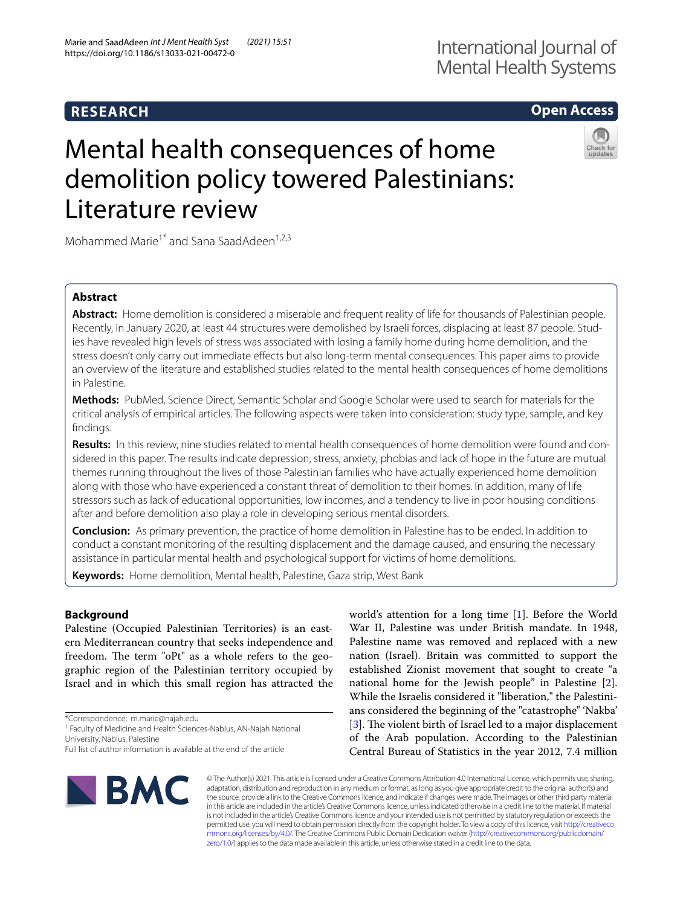# **Open Access**

# Mental health consequences of home demolition policy towered Palestinians: Literature review



Mohammed Marie<sup>1\*</sup> and Sana SaadAdeen<sup>1,2,3</sup>

## **Abstract**

**Abstract:** Home demolition is considered a miserable and frequent reality of life for thousands of Palestinian people. Recently, in January 2020, at least 44 structures were demolished by Israeli forces, displacing at least 87 people. Studies have revealed high levels of stress was associated with losing a family home during home demolition, and the stress doesn't only carry out immediate efects but also long-term mental consequences. This paper aims to provide an overview of the literature and established studies related to the mental health consequences of home demolitions in Palestine.

**Methods:** PubMed, Science Direct, Semantic Scholar and Google Scholar were used to search for materials for the critical analysis of empirical articles. The following aspects were taken into consideration: study type, sample, and key fndings.

**Results:** In this review, nine studies related to mental health consequences of home demolition were found and considered in this paper. The results indicate depression, stress, anxiety, phobias and lack of hope in the future are mutual themes running throughout the lives of those Palestinian families who have actually experienced home demolition along with those who have experienced a constant threat of demolition to their homes. In addition, many of life stressors such as lack of educational opportunities, low incomes, and a tendency to live in poor housing conditions after and before demolition also play a role in developing serious mental disorders.

**Conclusion:** As primary prevention, the practice of home demolition in Palestine has to be ended. In addition to conduct a constant monitoring of the resulting displacement and the damage caused, and ensuring the necessary assistance in particular mental health and psychological support for victims of home demolitions.

**Keywords:** Home demolition, Mental health, Palestine, Gaza strip, West Bank

## **Background**

Palestine (Occupied Palestinian Territories) is an eastern Mediterranean country that seeks independence and freedom. The term "oPt" as a whole refers to the geographic region of the Palestinian territory occupied by Israel and in which this small region has attracted the

\*Correspondence: m.marie@najah.edu

<sup>1</sup> Faculty of Medicine and Health Sciences-Nablus, AN-Najah National University, Nablus, Palestine

world's attention for a long time [\[1](#page-9-0)]. Before the World War II, Palestine was under British mandate. In 1948, Palestine name was removed and replaced with a new nation (Israel). Britain was committed to support the established Zionist movement that sought to create "a national home for the Jewish people" in Palestine [\[2](#page-9-1)]. While the Israelis considered it "liberation," the Palestinians considered the beginning of the "catastrophe" 'Nakba' [[3\]](#page-9-2). The violent birth of Israel led to a major displacement of the Arab population. According to the Palestinian Central Bureau of Statistics in the year 2012, 7.4 million



© The Author(s) 2021. This article is licensed under a Creative Commons Attribution 4.0 International License, which permits use, sharing, adaptation, distribution and reproduction in any medium or format, as long as you give appropriate credit to the original author(s) and the source, provide a link to the Creative Commons licence, and indicate if changes were made. The images or other third party material in this article are included in the article's Creative Commons licence, unless indicated otherwise in a credit line to the material. If material is not included in the article's Creative Commons licence and your intended use is not permitted by statutory regulation or exceeds the permitted use, you will need to obtain permission directly from the copyright holder. To view a copy of this licence, visit [http://creativeco](http://creativecommons.org/licenses/by/4.0/) [mmons.org/licenses/by/4.0/.](http://creativecommons.org/licenses/by/4.0/) The Creative Commons Public Domain Dedication waiver ([http://creativecommons.org/publicdomain/](http://creativecommons.org/publicdomain/zero/1.0/) [zero/1.0/\)](http://creativecommons.org/publicdomain/zero/1.0/) applies to the data made available in this article, unless otherwise stated in a credit line to the data.

Full list of author information is available at the end of the article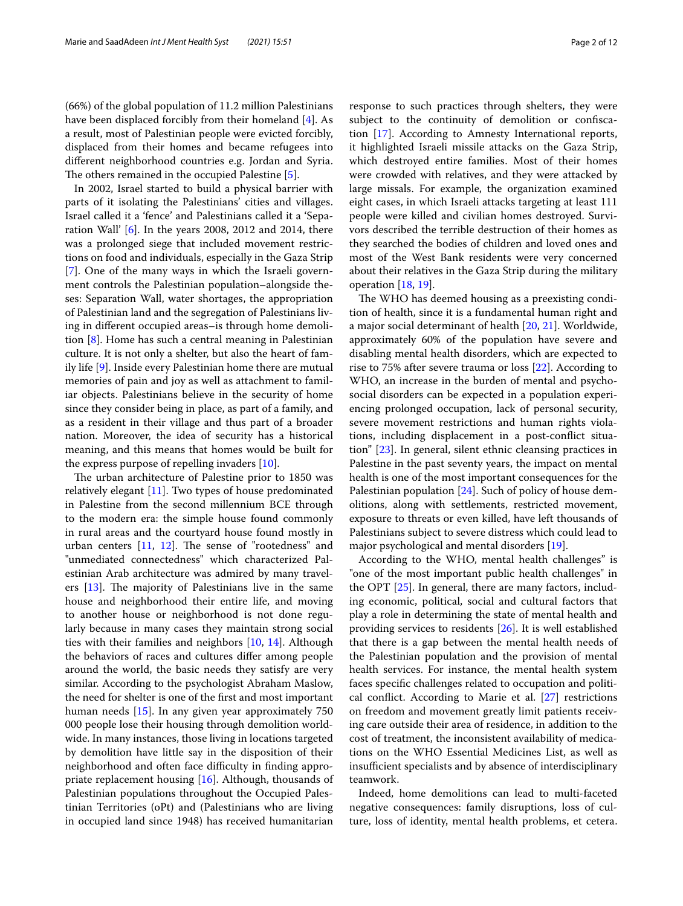(66%) of the global population of 11.2 million Palestinians have been displaced forcibly from their homeland [[4\]](#page-9-3). As a result, most of Palestinian people were evicted forcibly, displaced from their homes and became refugees into diferent neighborhood countries e.g. Jordan and Syria. The others remained in the occupied Palestine  $[5]$  $[5]$ .

In 2002, Israel started to build a physical barrier with parts of it isolating the Palestinians' cities and villages. Israel called it a 'fence' and Palestinians called it a 'Separation Wall' [[6\]](#page-9-5). In the years 2008, 2012 and 2014, there was a prolonged siege that included movement restrictions on food and individuals, especially in the Gaza Strip [[7\]](#page-9-6). One of the many ways in which the Israeli government controls the Palestinian population–alongside theses: Separation Wall, water shortages, the appropriation of Palestinian land and the segregation of Palestinians living in diferent occupied areas–is through home demolition [\[8](#page-9-7)]. Home has such a central meaning in Palestinian culture. It is not only a shelter, but also the heart of family life [[9](#page-9-8)]. Inside every Palestinian home there are mutual memories of pain and joy as well as attachment to familiar objects. Palestinians believe in the security of home since they consider being in place, as part of a family, and as a resident in their village and thus part of a broader nation. Moreover, the idea of security has a historical meaning, and this means that homes would be built for the express purpose of repelling invaders [[10](#page-9-9)].

The urban architecture of Palestine prior to 1850 was relatively elegant [[11\]](#page-9-10). Two types of house predominated in Palestine from the second millennium BCE through to the modern era: the simple house found commonly in rural areas and the courtyard house found mostly in urban centers  $[11, 12]$  $[11, 12]$  $[11, 12]$  $[11, 12]$ . The sense of "rootedness" and "unmediated connectedness" which characterized Palestinian Arab architecture was admired by many travelers  $[13]$  $[13]$ . The majority of Palestinians live in the same house and neighborhood their entire life, and moving to another house or neighborhood is not done regularly because in many cases they maintain strong social ties with their families and neighbors [\[10](#page-9-9), [14](#page-9-13)]. Although the behaviors of races and cultures difer among people around the world, the basic needs they satisfy are very similar. According to the psychologist Abraham Maslow, the need for shelter is one of the frst and most important human needs [\[15](#page-9-14)]. In any given year approximately 750 000 people lose their housing through demolition worldwide. In many instances, those living in locations targeted by demolition have little say in the disposition of their neighborhood and often face difficulty in finding appropriate replacement housing [[16](#page-9-15)]. Although, thousands of Palestinian populations throughout the Occupied Palestinian Territories (oPt) and (Palestinians who are living in occupied land since 1948) has received humanitarian

response to such practices through shelters, they were subject to the continuity of demolition or confscation [[17\]](#page-9-16). According to Amnesty International reports, it highlighted Israeli missile attacks on the Gaza Strip, which destroyed entire families. Most of their homes were crowded with relatives, and they were attacked by large missals. For example, the organization examined eight cases, in which Israeli attacks targeting at least 111 people were killed and civilian homes destroyed. Survivors described the terrible destruction of their homes as they searched the bodies of children and loved ones and most of the West Bank residents were very concerned about their relatives in the Gaza Strip during the military operation [[18,](#page-9-17) [19](#page-10-0)].

The WHO has deemed housing as a preexisting condition of health, since it is a fundamental human right and a major social determinant of health [[20,](#page-10-1) [21](#page-10-2)]. Worldwide, approximately 60% of the population have severe and disabling mental health disorders, which are expected to rise to 75% after severe trauma or loss [\[22](#page-10-3)]. According to WHO, an increase in the burden of mental and psychosocial disorders can be expected in a population experiencing prolonged occupation, lack of personal security, severe movement restrictions and human rights violations, including displacement in a post-confict situation" [[23\]](#page-10-4). In general, silent ethnic cleansing practices in Palestine in the past seventy years, the impact on mental health is one of the most important consequences for the Palestinian population [\[24\]](#page-10-5). Such of policy of house demolitions, along with settlements, restricted movement, exposure to threats or even killed, have left thousands of Palestinians subject to severe distress which could lead to major psychological and mental disorders [\[19](#page-10-0)].

According to the WHO, mental health challenges" is "one of the most important public health challenges" in the OPT [[25](#page-10-6)]. In general, there are many factors, including economic, political, social and cultural factors that play a role in determining the state of mental health and providing services to residents [[26\]](#page-10-7). It is well established that there is a gap between the mental health needs of the Palestinian population and the provision of mental health services. For instance, the mental health system faces specifc challenges related to occupation and political confict. According to Marie et al. [[27\]](#page-10-8) restrictions on freedom and movement greatly limit patients receiving care outside their area of residence, in addition to the cost of treatment, the inconsistent availability of medications on the WHO Essential Medicines List, as well as insufficient specialists and by absence of interdisciplinary teamwork.

Indeed, home demolitions can lead to multi-faceted negative consequences: family disruptions, loss of culture, loss of identity, mental health problems, et cetera.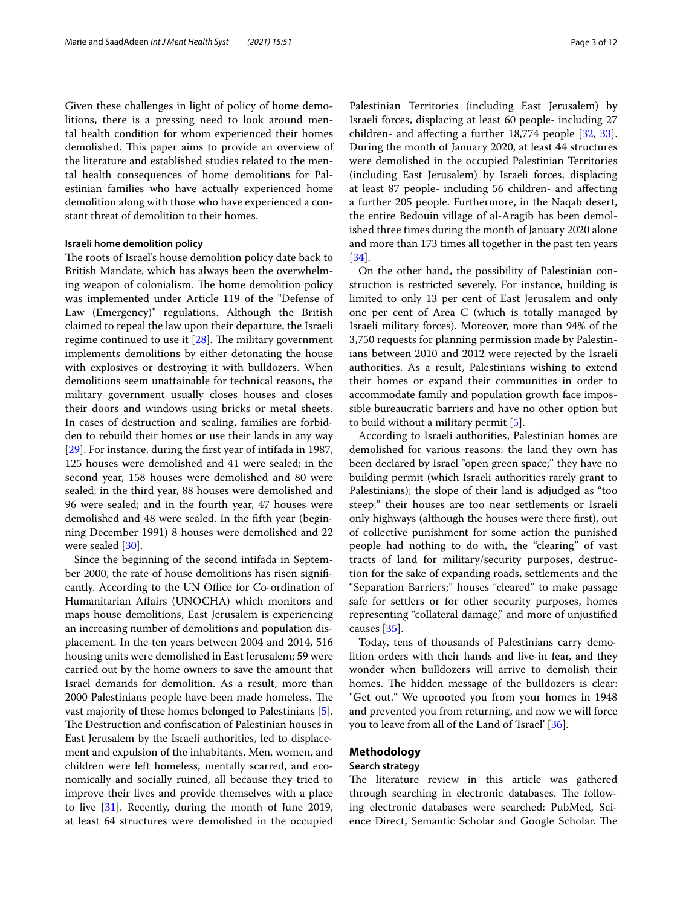Given these challenges in light of policy of home demolitions, there is a pressing need to look around mental health condition for whom experienced their homes demolished. This paper aims to provide an overview of the literature and established studies related to the mental health consequences of home demolitions for Palestinian families who have actually experienced home demolition along with those who have experienced a constant threat of demolition to their homes.

#### **Israeli home demolition policy**

The roots of Israel's house demolition policy date back to British Mandate, which has always been the overwhelming weapon of colonialism. The home demolition policy was implemented under Article 119 of the "Defense of Law (Emergency)" regulations. Although the British claimed to repeal the law upon their departure, the Israeli regime continued to use it  $[28]$  $[28]$ . The military government implements demolitions by either detonating the house with explosives or destroying it with bulldozers. When demolitions seem unattainable for technical reasons, the military government usually closes houses and closes their doors and windows using bricks or metal sheets. In cases of destruction and sealing, families are forbidden to rebuild their homes or use their lands in any way [[29\]](#page-10-10). For instance, during the frst year of intifada in 1987, 125 houses were demolished and 41 were sealed; in the second year, 158 houses were demolished and 80 were sealed; in the third year, 88 houses were demolished and 96 were sealed; and in the fourth year, 47 houses were demolished and 48 were sealed. In the ffth year (beginning December 1991) 8 houses were demolished and 22 were sealed [\[30](#page-10-11)].

Since the beginning of the second intifada in September 2000, the rate of house demolitions has risen signifcantly. According to the UN Office for Co-ordination of Humanitarian Afairs (UNOCHA) which monitors and maps house demolitions, East Jerusalem is experiencing an increasing number of demolitions and population displacement. In the ten years between 2004 and 2014, 516 housing units were demolished in East Jerusalem; 59 were carried out by the home owners to save the amount that Israel demands for demolition. As a result, more than 2000 Palestinians people have been made homeless. The vast majority of these homes belonged to Palestinians [\[5](#page-9-4)]. The Destruction and confiscation of Palestinian houses in East Jerusalem by the Israeli authorities, led to displacement and expulsion of the inhabitants. Men, women, and children were left homeless, mentally scarred, and economically and socially ruined, all because they tried to improve their lives and provide themselves with a place to live [\[31](#page-10-12)]. Recently, during the month of June 2019, at least 64 structures were demolished in the occupied Palestinian Territories (including East Jerusalem) by Israeli forces, displacing at least 60 people- including 27 children- and afecting a further 18,774 people [[32,](#page-10-13) [33](#page-10-14)]. During the month of January 2020, at least 44 structures were demolished in the occupied Palestinian Territories (including East Jerusalem) by Israeli forces, displacing at least 87 people- including 56 children- and afecting a further 205 people. Furthermore, in the Naqab desert, the entire Bedouin village of al-Aragib has been demolished three times during the month of January 2020 alone and more than 173 times all together in the past ten years [[34\]](#page-10-15).

On the other hand, the possibility of Palestinian construction is restricted severely. For instance, building is limited to only 13 per cent of East Jerusalem and only one per cent of Area C (which is totally managed by Israeli military forces). Moreover, more than 94% of the 3,750 requests for planning permission made by Palestinians between 2010 and 2012 were rejected by the Israeli authorities. As a result, Palestinians wishing to extend their homes or expand their communities in order to accommodate family and population growth face impossible bureaucratic barriers and have no other option but to build without a military permit [[5\]](#page-9-4).

According to Israeli authorities, Palestinian homes are demolished for various reasons: the land they own has been declared by Israel "open green space;" they have no building permit (which Israeli authorities rarely grant to Palestinians); the slope of their land is adjudged as "too steep;" their houses are too near settlements or Israeli only highways (although the houses were there frst), out of collective punishment for some action the punished people had nothing to do with, the "clearing" of vast tracts of land for military/security purposes, destruction for the sake of expanding roads, settlements and the "Separation Barriers;" houses "cleared" to make passage safe for settlers or for other security purposes, homes representing "collateral damage," and more of unjustifed causes [[35\]](#page-10-16).

Today, tens of thousands of Palestinians carry demolition orders with their hands and live-in fear, and they wonder when bulldozers will arrive to demolish their homes. The hidden message of the bulldozers is clear: "Get out." We uprooted you from your homes in 1948 and prevented you from returning, and now we will force you to leave from all of the Land of 'Israel' [[36\]](#page-10-17).

## **Methodology**

## **Search strategy**

The literature review in this article was gathered through searching in electronic databases. The following electronic databases were searched: PubMed, Science Direct, Semantic Scholar and Google Scholar. The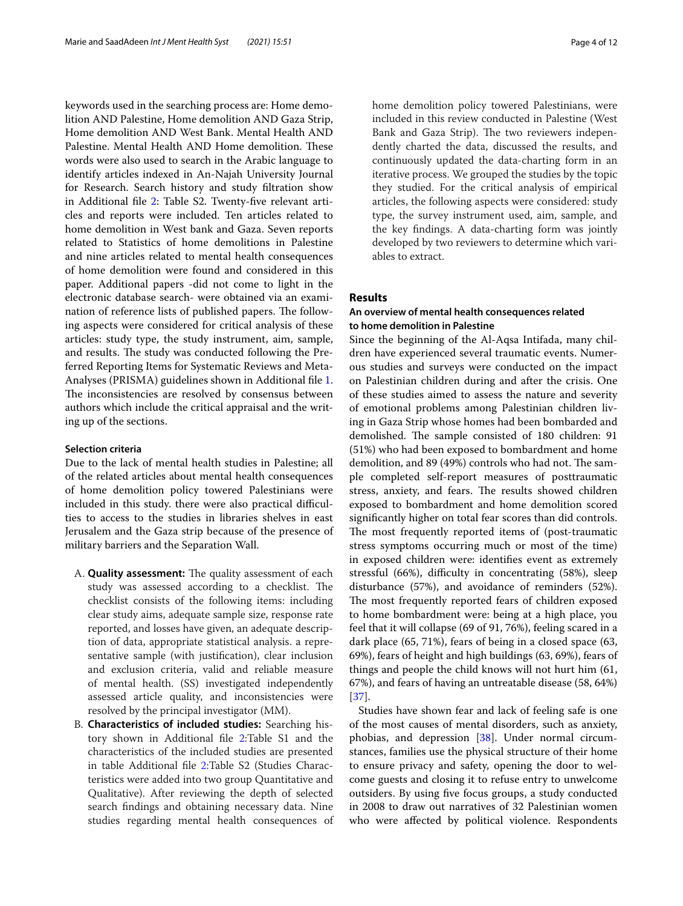keywords used in the searching process are: Home demolition AND Palestine, Home demolition AND Gaza Strip, Home demolition AND West Bank. Mental Health AND Palestine. Mental Health AND Home demolition. These words were also used to search in the Arabic language to identify articles indexed in An-Najah University Journal for Research. Search history and study fltration show in Additional file [2:](#page-9-18) Table S2. Twenty-five relevant articles and reports were included. Ten articles related to home demolition in West bank and Gaza. Seven reports related to Statistics of home demolitions in Palestine and nine articles related to mental health consequences of home demolition were found and considered in this paper. Additional papers -did not come to light in the electronic database search- were obtained via an examination of reference lists of published papers. The following aspects were considered for critical analysis of these articles: study type, the study instrument, aim, sample, and results. The study was conducted following the Preferred Reporting Items for Systematic Reviews and Meta-Analyses (PRISMA) guidelines shown in Additional fle [1](#page-9-19). The inconsistencies are resolved by consensus between authors which include the critical appraisal and the writing up of the sections.

## **Selection criteria**

Due to the lack of mental health studies in Palestine; all of the related articles about mental health consequences of home demolition policy towered Palestinians were included in this study. there were also practical difficulties to access to the studies in libraries shelves in east Jerusalem and the Gaza strip because of the presence of military barriers and the Separation Wall.

- A. **Quality assessment:** The quality assessment of each study was assessed according to a checklist. The checklist consists of the following items: including clear study aims, adequate sample size, response rate reported, and losses have given, an adequate description of data, appropriate statistical analysis. a representative sample (with justifcation), clear inclusion and exclusion criteria, valid and reliable measure of mental health. (SS) investigated independently assessed article quality, and inconsistencies were resolved by the principal investigator (MM).
- B. **Characteristics of included studies:** Searching history shown in Additional fle [2](#page-9-18):Table S1 and the characteristics of the included studies are presented in table Additional fle [2](#page-9-18):Table S2 (Studies Characteristics were added into two group Quantitative and Qualitative). After reviewing the depth of selected search fndings and obtaining necessary data. Nine studies regarding mental health consequences of

home demolition policy towered Palestinians, were included in this review conducted in Palestine (West Bank and Gaza Strip). The two reviewers independently charted the data, discussed the results, and continuously updated the data-charting form in an iterative process. We grouped the studies by the topic they studied. For the critical analysis of empirical articles, the following aspects were considered: study type, the survey instrument used, aim, sample, and the key fndings. A data-charting form was jointly developed by two reviewers to determine which variables to extract.

## **Results**

## **An overview of mental health consequences related to home demolition in Palestine**

Since the beginning of the Al-Aqsa Intifada, many children have experienced several traumatic events. Numerous studies and surveys were conducted on the impact on Palestinian children during and after the crisis. One of these studies aimed to assess the nature and severity of emotional problems among Palestinian children living in Gaza Strip whose homes had been bombarded and demolished. The sample consisted of 180 children: 91 (51%) who had been exposed to bombardment and home demolition, and 89 (49%) controls who had not. The sample completed self-report measures of posttraumatic stress, anxiety, and fears. The results showed children exposed to bombardment and home demolition scored signifcantly higher on total fear scores than did controls. The most frequently reported items of (post-traumatic stress symptoms occurring much or most of the time) in exposed children were: identifes event as extremely stressful (66%), difficulty in concentrating (58%), sleep disturbance (57%), and avoidance of reminders (52%). The most frequently reported fears of children exposed to home bombardment were: being at a high place, you feel that it will collapse (69 of 91, 76%), feeling scared in a dark place (65, 71%), fears of being in a closed space (63, 69%), fears of height and high buildings (63, 69%), fears of things and people the child knows will not hurt him (61, 67%), and fears of having an untreatable disease (58, 64%) [[37\]](#page-10-18).

Studies have shown fear and lack of feeling safe is one of the most causes of mental disorders, such as anxiety, phobias, and depression [\[38](#page-10-19)]. Under normal circumstances, families use the physical structure of their home to ensure privacy and safety, opening the door to welcome guests and closing it to refuse entry to unwelcome outsiders. By using fve focus groups, a study conducted in 2008 to draw out narratives of 32 Palestinian women who were afected by political violence. Respondents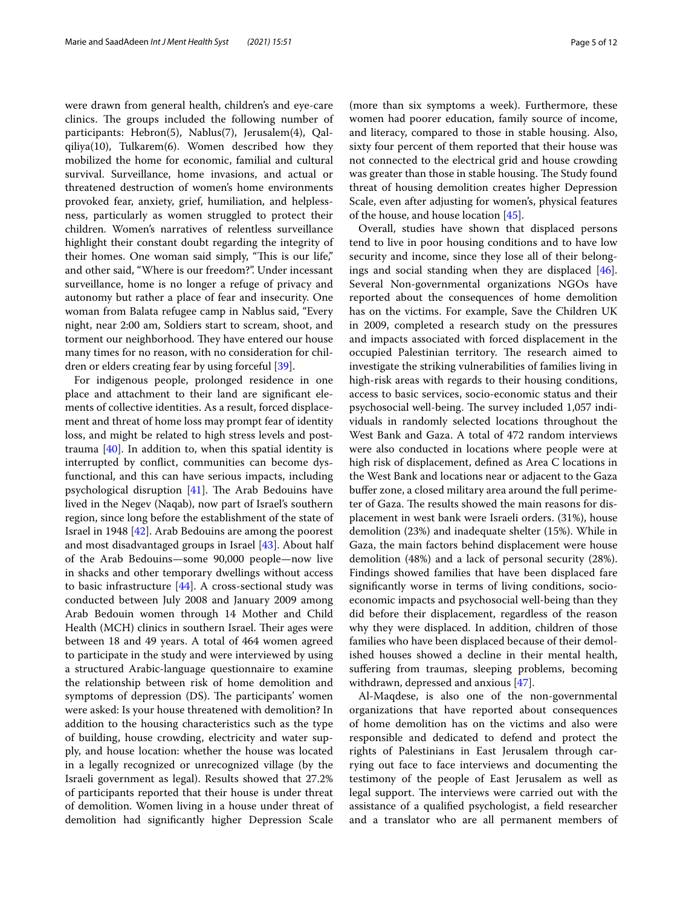were drawn from general health, children's and eye-care clinics. The groups included the following number of participants: Hebron(5), Nablus(7), Jerusalem(4), Qalqiliya(10), Tulkarem(6). Women described how they mobilized the home for economic, familial and cultural survival. Surveillance, home invasions, and actual or threatened destruction of women's home environments provoked fear, anxiety, grief, humiliation, and helplessness, particularly as women struggled to protect their children. Women's narratives of relentless surveillance highlight their constant doubt regarding the integrity of their homes. One woman said simply, "This is our life," and other said, "Where is our freedom?". Under incessant surveillance, home is no longer a refuge of privacy and autonomy but rather a place of fear and insecurity. One woman from Balata refugee camp in Nablus said, "Every night, near 2:00 am, Soldiers start to scream, shoot, and torment our neighborhood. They have entered our house many times for no reason, with no consideration for children or elders creating fear by using forceful [\[39](#page-10-20)].

For indigenous people, prolonged residence in one place and attachment to their land are signifcant elements of collective identities. As a result, forced displacement and threat of home loss may prompt fear of identity loss, and might be related to high stress levels and posttrauma [[40\]](#page-10-21). In addition to, when this spatial identity is interrupted by confict, communities can become dysfunctional, and this can have serious impacts, including psychological disruption  $[41]$ . The Arab Bedouins have lived in the Negev (Naqab), now part of Israel's southern region, since long before the establishment of the state of Israel in 1948 [\[42](#page-10-23)]. Arab Bedouins are among the poorest and most disadvantaged groups in Israel [[43](#page-10-24)]. About half of the Arab Bedouins—some 90,000 people—now live in shacks and other temporary dwellings without access to basic infrastructure [[44\]](#page-10-25). A cross-sectional study was conducted between July 2008 and January 2009 among Arab Bedouin women through 14 Mother and Child Health (MCH) clinics in southern Israel. Their ages were between 18 and 49 years. A total of 464 women agreed to participate in the study and were interviewed by using a structured Arabic-language questionnaire to examine the relationship between risk of home demolition and symptoms of depression (DS). The participants' women were asked: Is your house threatened with demolition? In addition to the housing characteristics such as the type of building, house crowding, electricity and water supply, and house location: whether the house was located in a legally recognized or unrecognized village (by the Israeli government as legal). Results showed that 27.2% of participants reported that their house is under threat of demolition. Women living in a house under threat of demolition had signifcantly higher Depression Scale

(more than six symptoms a week). Furthermore, these women had poorer education, family source of income, and literacy, compared to those in stable housing. Also, sixty four percent of them reported that their house was not connected to the electrical grid and house crowding was greater than those in stable housing. The Study found threat of housing demolition creates higher Depression Scale, even after adjusting for women's, physical features of the house, and house location [[45\]](#page-10-26).

Overall, studies have shown that displaced persons tend to live in poor housing conditions and to have low security and income, since they lose all of their belongings and social standing when they are displaced [\[46](#page-10-27)]. Several Non-governmental organizations NGOs have reported about the consequences of home demolition has on the victims. For example, Save the Children UK in 2009, completed a research study on the pressures and impacts associated with forced displacement in the occupied Palestinian territory. The research aimed to investigate the striking vulnerabilities of families living in high-risk areas with regards to their housing conditions, access to basic services, socio-economic status and their psychosocial well-being. The survey included 1,057 individuals in randomly selected locations throughout the West Bank and Gaza. A total of 472 random interviews were also conducted in locations where people were at high risk of displacement, defned as Area C locations in the West Bank and locations near or adjacent to the Gaza bufer zone, a closed military area around the full perimeter of Gaza. The results showed the main reasons for displacement in west bank were Israeli orders. (31%), house demolition (23%) and inadequate shelter (15%). While in Gaza, the main factors behind displacement were house demolition (48%) and a lack of personal security (28%). Findings showed families that have been displaced fare signifcantly worse in terms of living conditions, socioeconomic impacts and psychosocial well-being than they did before their displacement, regardless of the reason why they were displaced. In addition, children of those families who have been displaced because of their demolished houses showed a decline in their mental health, suffering from traumas, sleeping problems, becoming withdrawn, depressed and anxious [\[47\]](#page-10-28).

Al-Maqdese, is also one of the non-governmental organizations that have reported about consequences of home demolition has on the victims and also were responsible and dedicated to defend and protect the rights of Palestinians in East Jerusalem through carrying out face to face interviews and documenting the testimony of the people of East Jerusalem as well as legal support. The interviews were carried out with the assistance of a qualifed psychologist, a feld researcher and a translator who are all permanent members of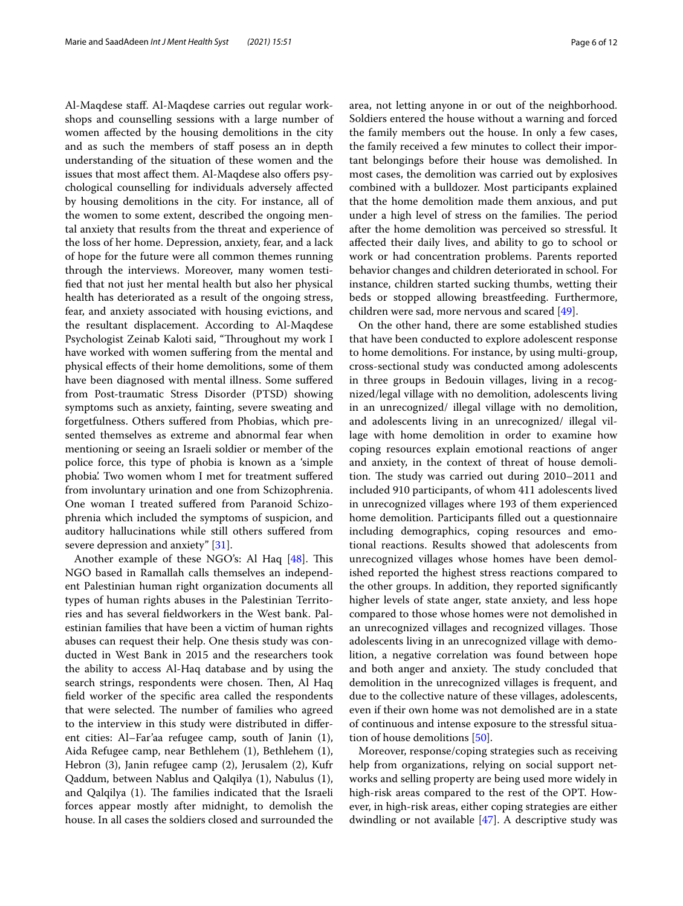Al-Maqdese staf. Al-Maqdese carries out regular workshops and counselling sessions with a large number of women afected by the housing demolitions in the city and as such the members of staff posess an in depth understanding of the situation of these women and the issues that most affect them. Al-Maqdese also offers psychological counselling for individuals adversely afected by housing demolitions in the city. For instance, all of the women to some extent, described the ongoing mental anxiety that results from the threat and experience of the loss of her home. Depression, anxiety, fear, and a lack of hope for the future were all common themes running through the interviews. Moreover, many women testifed that not just her mental health but also her physical health has deteriorated as a result of the ongoing stress, fear, and anxiety associated with housing evictions, and the resultant displacement. According to Al-Maqdese Psychologist Zeinab Kaloti said, "Throughout my work I have worked with women sufering from the mental and physical efects of their home demolitions, some of them have been diagnosed with mental illness. Some sufered from Post-traumatic Stress Disorder (PTSD) showing symptoms such as anxiety, fainting, severe sweating and forgetfulness. Others sufered from Phobias, which presented themselves as extreme and abnormal fear when mentioning or seeing an Israeli soldier or member of the police force, this type of phobia is known as a 'simple phobia'. Two women whom I met for treatment sufered from involuntary urination and one from Schizophrenia. One woman I treated sufered from Paranoid Schizophrenia which included the symptoms of suspicion, and auditory hallucinations while still others sufered from severe depression and anxiety" [[31](#page-10-12)].

Another example of these NGO's: Al Haq [[48](#page-10-29)]. This NGO based in Ramallah calls themselves an independent Palestinian human right organization documents all types of human rights abuses in the Palestinian Territories and has several feldworkers in the West bank. Palestinian families that have been a victim of human rights abuses can request their help. One thesis study was conducted in West Bank in 2015 and the researchers took the ability to access Al-Haq database and by using the search strings, respondents were chosen. Then, Al Haq feld worker of the specifc area called the respondents that were selected. The number of families who agreed to the interview in this study were distributed in diferent cities: Al–Far'aa refugee camp, south of Janin (1), Aida Refugee camp, near Bethlehem (1), Bethlehem (1), Hebron (3), Janin refugee camp (2), Jerusalem (2), Kufr Qaddum, between Nablus and Qalqilya (1), Nabulus (1), and Qalqilya (1). The families indicated that the Israeli forces appear mostly after midnight, to demolish the house. In all cases the soldiers closed and surrounded the area, not letting anyone in or out of the neighborhood. Soldiers entered the house without a warning and forced the family members out the house. In only a few cases, the family received a few minutes to collect their important belongings before their house was demolished. In most cases, the demolition was carried out by explosives combined with a bulldozer. Most participants explained that the home demolition made them anxious, and put under a high level of stress on the families. The period after the home demolition was perceived so stressful. It afected their daily lives, and ability to go to school or work or had concentration problems. Parents reported behavior changes and children deteriorated in school. For instance, children started sucking thumbs, wetting their beds or stopped allowing breastfeeding. Furthermore, children were sad, more nervous and scared [\[49](#page-10-30)].

On the other hand, there are some established studies that have been conducted to explore adolescent response to home demolitions. For instance, by using multi-group, cross-sectional study was conducted among adolescents in three groups in Bedouin villages, living in a recognized/legal village with no demolition, adolescents living in an unrecognized/ illegal village with no demolition, and adolescents living in an unrecognized/ illegal village with home demolition in order to examine how coping resources explain emotional reactions of anger and anxiety, in the context of threat of house demolition. The study was carried out during 2010–2011 and included 910 participants, of whom 411 adolescents lived in unrecognized villages where 193 of them experienced home demolition. Participants flled out a questionnaire including demographics, coping resources and emotional reactions. Results showed that adolescents from unrecognized villages whose homes have been demolished reported the highest stress reactions compared to the other groups. In addition, they reported signifcantly higher levels of state anger, state anxiety, and less hope compared to those whose homes were not demolished in an unrecognized villages and recognized villages. Those adolescents living in an unrecognized village with demolition, a negative correlation was found between hope and both anger and anxiety. The study concluded that demolition in the unrecognized villages is frequent, and due to the collective nature of these villages, adolescents, even if their own home was not demolished are in a state of continuous and intense exposure to the stressful situation of house demolitions [[50](#page-10-31)].

Moreover, response/coping strategies such as receiving help from organizations, relying on social support networks and selling property are being used more widely in high-risk areas compared to the rest of the OPT. However, in high-risk areas, either coping strategies are either dwindling or not available [[47](#page-10-28)]. A descriptive study was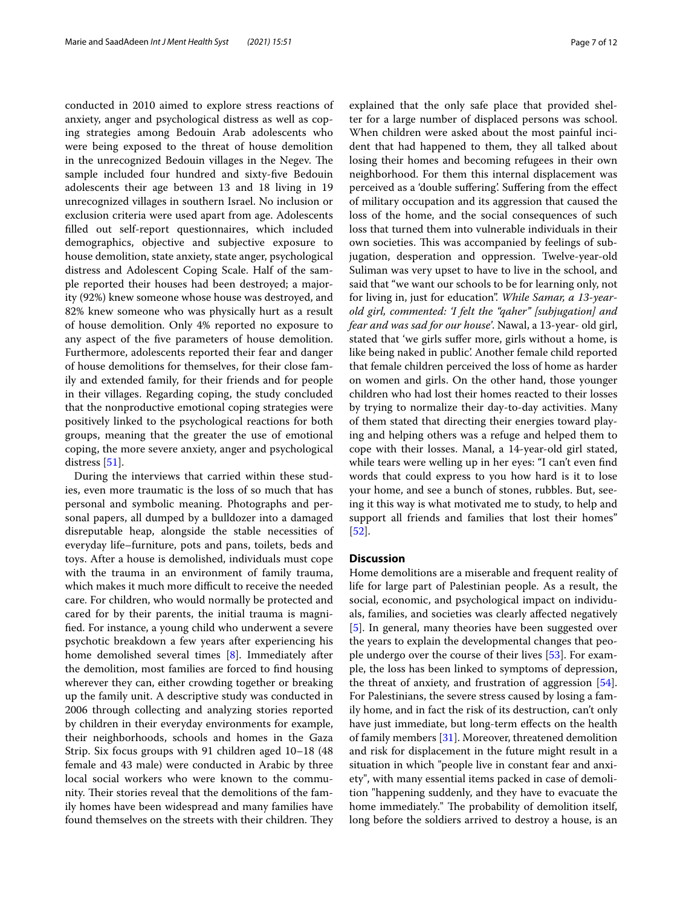conducted in 2010 aimed to explore stress reactions of anxiety, anger and psychological distress as well as coping strategies among Bedouin Arab adolescents who were being exposed to the threat of house demolition in the unrecognized Bedouin villages in the Negev. The sample included four hundred and sixty-fve Bedouin adolescents their age between 13 and 18 living in 19 unrecognized villages in southern Israel. No inclusion or exclusion criteria were used apart from age. Adolescents flled out self-report questionnaires, which included demographics, objective and subjective exposure to house demolition, state anxiety, state anger, psychological distress and Adolescent Coping Scale. Half of the sample reported their houses had been destroyed; a majority (92%) knew someone whose house was destroyed, and 82% knew someone who was physically hurt as a result of house demolition. Only 4% reported no exposure to any aspect of the fve parameters of house demolition. Furthermore, adolescents reported their fear and danger of house demolitions for themselves, for their close family and extended family, for their friends and for people in their villages. Regarding coping, the study concluded that the nonproductive emotional coping strategies were positively linked to the psychological reactions for both groups, meaning that the greater the use of emotional coping, the more severe anxiety, anger and psychological distress [\[51\]](#page-10-32).

During the interviews that carried within these studies, even more traumatic is the loss of so much that has personal and symbolic meaning. Photographs and personal papers, all dumped by a bulldozer into a damaged disreputable heap, alongside the stable necessities of everyday life–furniture, pots and pans, toilets, beds and toys. After a house is demolished, individuals must cope with the trauma in an environment of family trauma, which makes it much more difficult to receive the needed care. For children, who would normally be protected and cared for by their parents, the initial trauma is magnifed. For instance, a young child who underwent a severe psychotic breakdown a few years after experiencing his home demolished several times [\[8](#page-9-7)]. Immediately after the demolition, most families are forced to fnd housing wherever they can, either crowding together or breaking up the family unit. A descriptive study was conducted in 2006 through collecting and analyzing stories reported by children in their everyday environments for example, their neighborhoods, schools and homes in the Gaza Strip. Six focus groups with 91 children aged 10–18 (48 female and 43 male) were conducted in Arabic by three local social workers who were known to the community. Their stories reveal that the demolitions of the family homes have been widespread and many families have found themselves on the streets with their children. They explained that the only safe place that provided shelter for a large number of displaced persons was school. When children were asked about the most painful incident that had happened to them, they all talked about losing their homes and becoming refugees in their own neighborhood. For them this internal displacement was perceived as a 'double sufering'. Sufering from the efect of military occupation and its aggression that caused the loss of the home, and the social consequences of such loss that turned them into vulnerable individuals in their own societies. This was accompanied by feelings of subjugation, desperation and oppression. Twelve-year-old Suliman was very upset to have to live in the school, and said that "we want our schools to be for learning only, not for living in, just for education". *While Samar, a 13-yearold girl, commented: 'I felt the "qaher" [subjugation] and fear and was sad for our house'*. Nawal, a 13-year- old girl, stated that 'we girls sufer more, girls without a home, is like being naked in public'. Another female child reported that female children perceived the loss of home as harder on women and girls. On the other hand, those younger children who had lost their homes reacted to their losses by trying to normalize their day-to-day activities. Many of them stated that directing their energies toward playing and helping others was a refuge and helped them to cope with their losses. Manal, a 14-year-old girl stated, while tears were welling up in her eyes: "I can't even fnd words that could express to you how hard is it to lose your home, and see a bunch of stones, rubbles. But, seeing it this way is what motivated me to study, to help and support all friends and families that lost their homes" [[52\]](#page-10-33).

## **Discussion**

Home demolitions are a miserable and frequent reality of life for large part of Palestinian people. As a result, the social, economic, and psychological impact on individuals, families, and societies was clearly afected negatively [[5\]](#page-9-4). In general, many theories have been suggested over the years to explain the developmental changes that people undergo over the course of their lives [[53\]](#page-10-34). For example, the loss has been linked to symptoms of depression, the threat of anxiety, and frustration of aggression [\[54](#page-10-35)]. For Palestinians, the severe stress caused by losing a family home, and in fact the risk of its destruction, can't only have just immediate, but long-term effects on the health of family members [[31\]](#page-10-12). Moreover, threatened demolition and risk for displacement in the future might result in a situation in which "people live in constant fear and anxiety", with many essential items packed in case of demolition "happening suddenly, and they have to evacuate the home immediately." The probability of demolition itself, long before the soldiers arrived to destroy a house, is an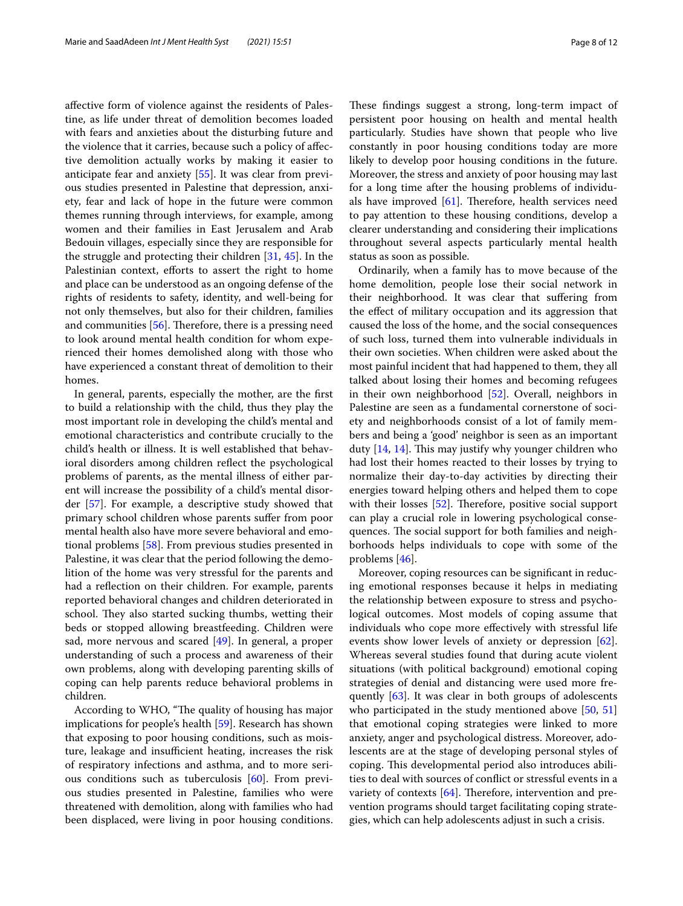afective form of violence against the residents of Palestine, as life under threat of demolition becomes loaded with fears and anxieties about the disturbing future and the violence that it carries, because such a policy of afective demolition actually works by making it easier to anticipate fear and anxiety [\[55](#page-10-36)]. It was clear from previous studies presented in Palestine that depression, anxiety, fear and lack of hope in the future were common themes running through interviews, for example, among women and their families in East Jerusalem and Arab Bedouin villages, especially since they are responsible for the struggle and protecting their children [\[31,](#page-10-12) [45\]](#page-10-26). In the Palestinian context, efforts to assert the right to home and place can be understood as an ongoing defense of the rights of residents to safety, identity, and well-being for not only themselves, but also for their children, families and communities  $[56]$  $[56]$ . Therefore, there is a pressing need to look around mental health condition for whom experienced their homes demolished along with those who have experienced a constant threat of demolition to their homes.

In general, parents, especially the mother, are the frst to build a relationship with the child, thus they play the most important role in developing the child's mental and emotional characteristics and contribute crucially to the child's health or illness. It is well established that behavioral disorders among children refect the psychological problems of parents, as the mental illness of either parent will increase the possibility of a child's mental disorder [[57](#page-10-38)]. For example, a descriptive study showed that primary school children whose parents sufer from poor mental health also have more severe behavioral and emotional problems [\[58](#page-10-39)]. From previous studies presented in Palestine, it was clear that the period following the demolition of the home was very stressful for the parents and had a refection on their children. For example, parents reported behavioral changes and children deteriorated in school. They also started sucking thumbs, wetting their beds or stopped allowing breastfeeding. Children were sad, more nervous and scared [[49\]](#page-10-30). In general, a proper understanding of such a process and awareness of their own problems, along with developing parenting skills of coping can help parents reduce behavioral problems in children.

According to WHO, "The quality of housing has major implications for people's health [\[59](#page-10-40)]. Research has shown that exposing to poor housing conditions, such as moisture, leakage and insufficient heating, increases the risk of respiratory infections and asthma, and to more serious conditions such as tuberculosis [[60\]](#page-10-41). From previous studies presented in Palestine, families who were threatened with demolition, along with families who had been displaced, were living in poor housing conditions.

These findings suggest a strong, long-term impact of persistent poor housing on health and mental health particularly. Studies have shown that people who live constantly in poor housing conditions today are more likely to develop poor housing conditions in the future. Moreover, the stress and anxiety of poor housing may last for a long time after the housing problems of individuals have improved  $[61]$  $[61]$ . Therefore, health services need to pay attention to these housing conditions, develop a clearer understanding and considering their implications throughout several aspects particularly mental health status as soon as possible.

Ordinarily, when a family has to move because of the home demolition, people lose their social network in their neighborhood. It was clear that sufering from the efect of military occupation and its aggression that caused the loss of the home, and the social consequences of such loss, turned them into vulnerable individuals in their own societies. When children were asked about the most painful incident that had happened to them, they all talked about losing their homes and becoming refugees in their own neighborhood [[52\]](#page-10-33). Overall, neighbors in Palestine are seen as a fundamental cornerstone of society and neighborhoods consist of a lot of family members and being a 'good' neighbor is seen as an important duty  $[14, 14]$  $[14, 14]$  $[14, 14]$  $[14, 14]$  $[14, 14]$ . This may justify why younger children who had lost their homes reacted to their losses by trying to normalize their day-to-day activities by directing their energies toward helping others and helped them to cope with their losses  $[52]$  $[52]$ . Therefore, positive social support can play a crucial role in lowering psychological consequences. The social support for both families and neighborhoods helps individuals to cope with some of the problems [[46](#page-10-27)].

Moreover, coping resources can be signifcant in reducing emotional responses because it helps in mediating the relationship between exposure to stress and psychological outcomes. Most models of coping assume that individuals who cope more efectively with stressful life events show lower levels of anxiety or depression [\[62](#page-10-43)]. Whereas several studies found that during acute violent situations (with political background) emotional coping strategies of denial and distancing were used more frequently [\[63](#page-10-44)]. It was clear in both groups of adolescents who participated in the study mentioned above [\[50,](#page-10-31) [51](#page-10-32)] that emotional coping strategies were linked to more anxiety, anger and psychological distress. Moreover, adolescents are at the stage of developing personal styles of coping. This developmental period also introduces abilities to deal with sources of confict or stressful events in a variety of contexts  $[64]$  $[64]$ . Therefore, intervention and prevention programs should target facilitating coping strategies, which can help adolescents adjust in such a crisis.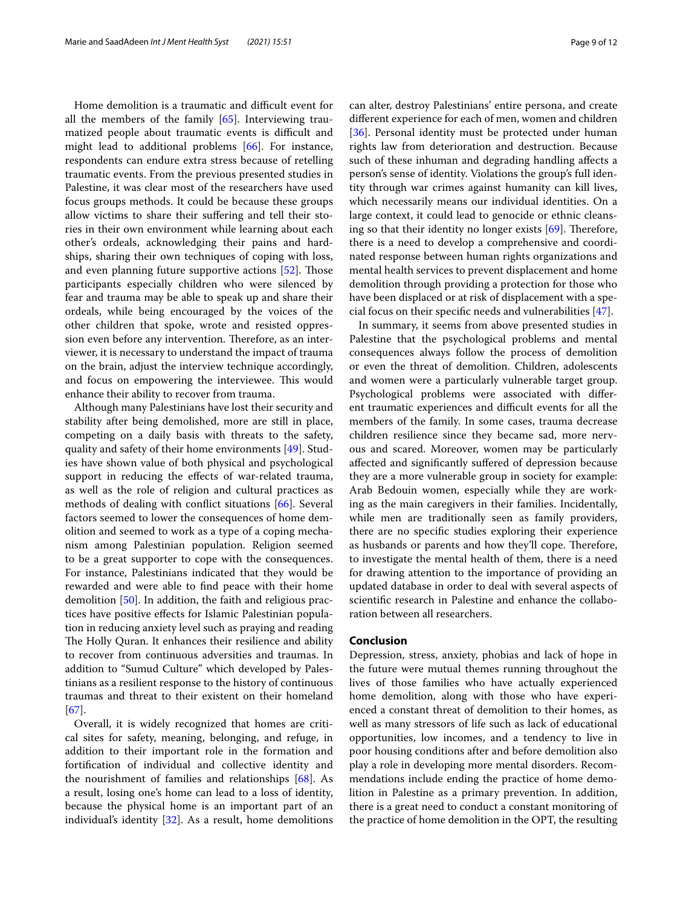Home demolition is a traumatic and difficult event for all the members of the family [[65\]](#page-10-46). Interviewing traumatized people about traumatic events is difficult and might lead to additional problems [[66\]](#page-10-47). For instance, respondents can endure extra stress because of retelling traumatic events. From the previous presented studies in Palestine, it was clear most of the researchers have used focus groups methods. It could be because these groups allow victims to share their sufering and tell their stories in their own environment while learning about each other's ordeals, acknowledging their pains and hardships, sharing their own techniques of coping with loss, and even planning future supportive actions  $[52]$  $[52]$  $[52]$ . Those participants especially children who were silenced by fear and trauma may be able to speak up and share their ordeals, while being encouraged by the voices of the other children that spoke, wrote and resisted oppression even before any intervention. Therefore, as an interviewer, it is necessary to understand the impact of trauma on the brain, adjust the interview technique accordingly, and focus on empowering the interviewee. This would enhance their ability to recover from trauma.

Although many Palestinians have lost their security and stability after being demolished, more are still in place, competing on a daily basis with threats to the safety, quality and safety of their home environments [[49](#page-10-30)]. Studies have shown value of both physical and psychological support in reducing the efects of war-related trauma, as well as the role of religion and cultural practices as methods of dealing with confict situations [\[66](#page-10-47)]. Several factors seemed to lower the consequences of home demolition and seemed to work as a type of a coping mechanism among Palestinian population. Religion seemed to be a great supporter to cope with the consequences. For instance, Palestinians indicated that they would be rewarded and were able to fnd peace with their home demolition [\[50](#page-10-31)]. In addition, the faith and religious practices have positive efects for Islamic Palestinian population in reducing anxiety level such as praying and reading The Holly Quran. It enhances their resilience and ability to recover from continuous adversities and traumas. In addition to "Sumud Culture" which developed by Palestinians as a resilient response to the history of continuous traumas and threat to their existent on their homeland [[67\]](#page-10-48).

Overall, it is widely recognized that homes are critical sites for safety, meaning, belonging, and refuge, in addition to their important role in the formation and fortifcation of individual and collective identity and the nourishment of families and relationships [[68\]](#page-11-0). As a result, losing one's home can lead to a loss of identity, because the physical home is an important part of an individual's identity  $[32]$  $[32]$  $[32]$ . As a result, home demolitions can alter, destroy Palestinians' entire persona, and create diferent experience for each of men, women and children [[36\]](#page-10-17). Personal identity must be protected under human rights law from deterioration and destruction. Because such of these inhuman and degrading handling afects a person's sense of identity. Violations the group's full identity through war crimes against humanity can kill lives, which necessarily means our individual identities. On a large context, it could lead to genocide or ethnic cleansing so that their identity no longer exists  $[69]$  $[69]$  $[69]$ . Therefore, there is a need to develop a comprehensive and coordinated response between human rights organizations and mental health services to prevent displacement and home demolition through providing a protection for those who have been displaced or at risk of displacement with a special focus on their specifc needs and vulnerabilities [[47\]](#page-10-28).

In summary, it seems from above presented studies in Palestine that the psychological problems and mental consequences always follow the process of demolition or even the threat of demolition. Children, adolescents and women were a particularly vulnerable target group. Psychological problems were associated with diferent traumatic experiences and difficult events for all the members of the family. In some cases, trauma decrease children resilience since they became sad, more nervous and scared. Moreover, women may be particularly afected and signifcantly sufered of depression because they are a more vulnerable group in society for example: Arab Bedouin women, especially while they are working as the main caregivers in their families. Incidentally, while men are traditionally seen as family providers, there are no specifc studies exploring their experience as husbands or parents and how they'll cope. Therefore, to investigate the mental health of them, there is a need for drawing attention to the importance of providing an updated database in order to deal with several aspects of scientifc research in Palestine and enhance the collaboration between all researchers.

## **Conclusion**

Depression, stress, anxiety, phobias and lack of hope in the future were mutual themes running throughout the lives of those families who have actually experienced home demolition, along with those who have experienced a constant threat of demolition to their homes, as well as many stressors of life such as lack of educational opportunities, low incomes, and a tendency to live in poor housing conditions after and before demolition also play a role in developing more mental disorders. Recommendations include ending the practice of home demolition in Palestine as a primary prevention. In addition, there is a great need to conduct a constant monitoring of the practice of home demolition in the OPT, the resulting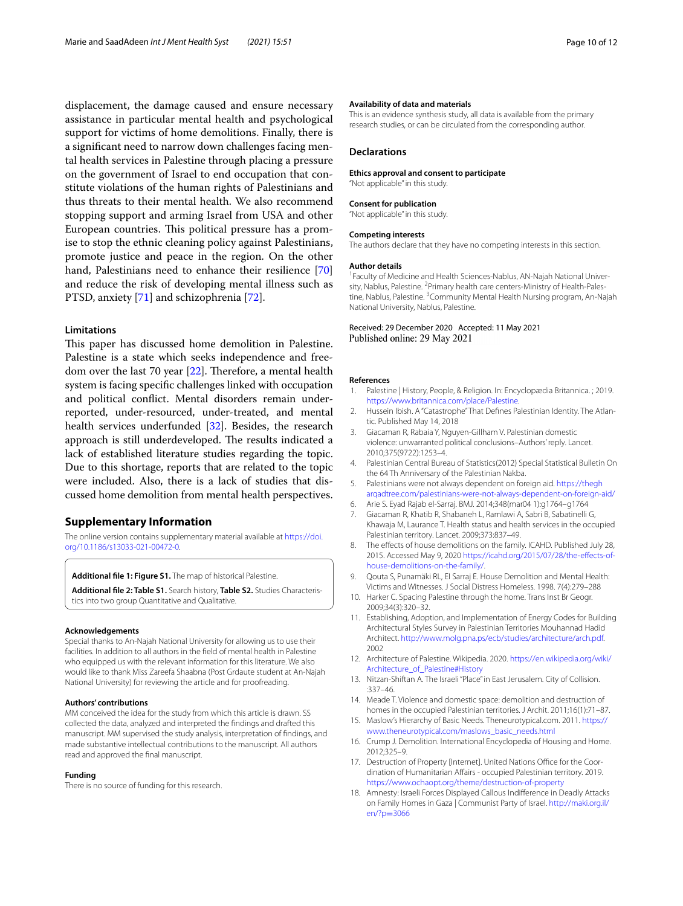displacement, the damage caused and ensure necessary assistance in particular mental health and psychological support for victims of home demolitions. Finally, there is a signifcant need to narrow down challenges facing mental health services in Palestine through placing a pressure on the government of Israel to end occupation that constitute violations of the human rights of Palestinians and thus threats to their mental health. We also recommend stopping support and arming Israel from USA and other European countries. This political pressure has a promise to stop the ethnic cleaning policy against Palestinians, promote justice and peace in the region. On the other hand, Palestinians need to enhance their resilience [[70](#page-11-2)] and reduce the risk of developing mental illness such as PTSD, anxiety [\[71](#page-11-3)] and schizophrenia [\[72\]](#page-11-4).

## **Limitations**

This paper has discussed home demolition in Palestine. Palestine is a state which seeks independence and freedom over the last 70 year  $[22]$  $[22]$  $[22]$ . Therefore, a mental health system is facing specifc challenges linked with occupation and political confict. Mental disorders remain underreported, under-resourced, under-treated, and mental health services underfunded [[32](#page-10-13)]. Besides, the research approach is still underdeveloped. The results indicated a lack of established literature studies regarding the topic. Due to this shortage, reports that are related to the topic were included. Also, there is a lack of studies that discussed home demolition from mental health perspectives.

## **Supplementary Information**

The online version contains supplementary material available at [https://doi.](https://doi.org/10.1186/s13033-021-00472-0) [org/10.1186/s13033-021-00472-0](https://doi.org/10.1186/s13033-021-00472-0).

<span id="page-9-19"></span>**Additional fle 1: Figure S1.** The map of historical Palestine.

**Additional fle 2: Table S1.** Search history, **Table S2.** Studies Characteristics into two group Quantitative and Qualitative.

#### **Acknowledgements**

Special thanks to An-Najah National University for allowing us to use their facilities. In addition to all authors in the feld of mental health in Palestine who equipped us with the relevant information for this literature. We also would like to thank Miss Zareefa Shaabna (Post Grdaute student at An-Najah National University) for reviewing the article and for proofreading.

#### **Authors' contributions**

MM conceived the idea for the study from which this article is drawn. SS collected the data, analyzed and interpreted the fndings and drafted this manuscript. MM supervised the study analysis, interpretation of fndings, and made substantive intellectual contributions to the manuscript. All authors read and approved the fnal manuscript.

#### **Funding**

There is no source of funding for this research.

#### **Availability of data and materials**

This is an evidence synthesis study, all data is available from the primary research studies, or can be circulated from the corresponding author.

#### **Declarations**

**Ethics approval and consent to participate**

# "Not applicable" in this study. **Consent for publication**

"Not applicable" in this study.

#### **Competing interests**

The authors declare that they have no competing interests in this section.

#### **Author details**

<sup>1</sup> Faculty of Medicine and Health Sciences-Nablus, AN-Najah National University, Nablus, Palestine. <sup>2</sup> Primary health care centers-Ministry of Health-Palestine, Nablus, Palestine. <sup>3</sup> Community Mental Health Nursing program, An-Najah National University, Nablus, Palestine.

### Received: 29 December 2020 Accepted: 11 May 2021 Published online: 29 May 2021

#### **References**

- <span id="page-9-0"></span>1. Palestine | History, People, & Religion. In: Encyclopædia Britannica. ; 2019. [https://www.britannica.com/place/Palestine.](https://www.britannica.com/place/Palestine)
- <span id="page-9-1"></span>2. Hussein Ibish. A "Catastrophe" That Defnes Palestinian Identity. The Atlantic. Published May 14, 2018
- <span id="page-9-2"></span>3. Giacaman R, Rabaia Y, Nguyen-Gillham V. Palestinian domestic violence: unwarranted political conclusions–Authors' reply. Lancet. 2010;375(9722):1253–4.
- <span id="page-9-3"></span>4. Palestinian Central Bureau of Statistics(2012) Special Statistical Bulletin On the 64 Th Anniversary of the Palestinian Nakba.
- <span id="page-9-4"></span>5. Palestinians were not always dependent on foreign aid. [https://thegh](https://thegharqadtree.com/palestinians-were-not-always-dependent-on-foreign-aid/) [arqadtree.com/palestinians-were-not-always-dependent-on-foreign-aid/](https://thegharqadtree.com/palestinians-were-not-always-dependent-on-foreign-aid/)
- <span id="page-9-6"></span><span id="page-9-5"></span>6. Arie S. Eyad Rajab el-Sarraj. BMJ. 2014;348(mar04 1):g1764–g1764 7. Giacaman R, Khatib R, Shabaneh L, Ramlawi A, Sabri B, Sabatinelli G, Khawaja M, Laurance T. Health status and health services in the occupied
- Palestinian territory. Lancet. 2009;373:837–49. 8. The efects of house demolitions on the family. ICAHD. Published July 28,
- <span id="page-9-7"></span>2015. Accessed May 9, 2020 [https://icahd.org/2015/07/28/the-efects-of](https://icahd.org/2015/07/28/the-effects-of-house-demolitions-on-the-family/)[house-demolitions-on-the-family/](https://icahd.org/2015/07/28/the-effects-of-house-demolitions-on-the-family/).
- <span id="page-9-18"></span><span id="page-9-8"></span>9. Qouta S, Punamäki RL, EI Sarraj E. House Demolition and Mental Health: Victims and Witnesses. J Social Distress Homeless. 1998. 7(4):279–288
- <span id="page-9-9"></span>10. Harker C. Spacing Palestine through the home. Trans Inst Br Geogr. 2009;34(3):320–32.
- <span id="page-9-10"></span>11. Establishing, Adoption, and Implementation of Energy Codes for Building Architectural Styles Survey in Palestinian Territories Mouhannad Hadid Architect. <http://www.molg.pna.ps/ecb/studies/architecture/arch.pdf>. 2002
- <span id="page-9-11"></span>12. Architecture of Palestine. Wikipedia. 2020. [https://en.wikipedia.org/wiki/](https://en.wikipedia.org/wiki/Architecture_of_Palestine#History) [Architecture\\_of\\_Palestine#History](https://en.wikipedia.org/wiki/Architecture_of_Palestine#History)
- <span id="page-9-12"></span>13. Nitzan-Shiftan A. The Israeli "Place" in East Jerusalem. City of Collision. :337–46.
- <span id="page-9-13"></span>14. Meade T. Violence and domestic space: demolition and destruction of homes in the occupied Palestinian territories. J Archit. 2011;16(1):71–87.
- <span id="page-9-14"></span>15. Maslow's Hierarchy of Basic Needs. Theneurotypical.com. 2011. [https://](https://www.theneurotypical.com/maslows_basic_needs.html) [www.theneurotypical.com/maslows\\_basic\\_needs.html](https://www.theneurotypical.com/maslows_basic_needs.html)
- <span id="page-9-15"></span>16. Crump J. Demolition. International Encyclopedia of Housing and Home. 2012;325–9.
- <span id="page-9-16"></span>17. Destruction of Property [Internet]. United Nations Office for the Coordination of Humanitarian Afairs - occupied Palestinian territory. 2019. <https://www.ochaopt.org/theme/destruction-of-property>
- <span id="page-9-17"></span>18. Amnesty: Israeli Forces Displayed Callous Indiference in Deadly Attacks on Family Homes in Gaza | Communist Party of Israel. [http://maki.org.il/](http://maki.org.il/en/?p=3066) [en/?p](http://maki.org.il/en/?p=3066)=3066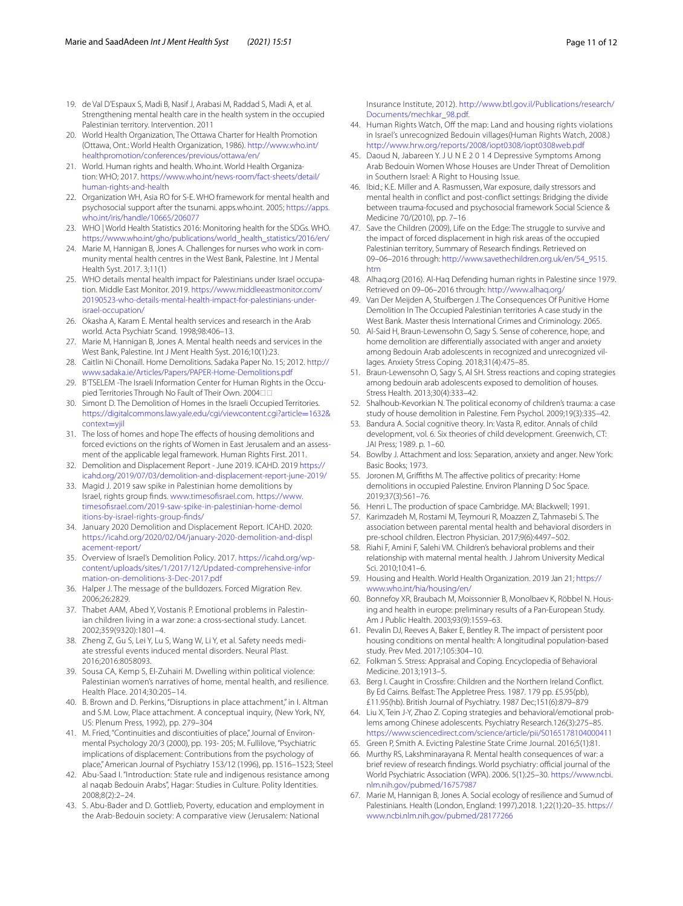- <span id="page-10-0"></span>19. de Val D'Espaux S, Madi B, Nasif J, Arabasi M, Raddad S, Madi A, et al. Strengthening mental health care in the health system in the occupied Palestinian territory. Intervention. 2011
- <span id="page-10-1"></span>20. World Health Organization, The Ottawa Charter for Health Promotion (Ottawa, Ont.: World Health Organization, 1986). [http://www.who.int/](http://www.who.int/healthpromotion/conferences/previous/ottawa/en/) [healthpromotion/conferences/previous/ottawa/en/](http://www.who.int/healthpromotion/conferences/previous/ottawa/en/)
- <span id="page-10-2"></span>21. World. Human rights and health. Who.int. World Health Organization: WHO; 2017. [https://www.who.int/news-room/fact-sheets/detail/](https://www.who.int/news-room/fact-sheets/detail/human-rights-and-health) [human-rights-and-health](https://www.who.int/news-room/fact-sheets/detail/human-rights-and-health)
- <span id="page-10-3"></span>22. Organization WH, Asia RO for S-E. WHO framework for mental health and psychosocial support after the tsunami. apps.who.int. 2005; [https://apps.](https://apps.who.int/iris/handle/10665/206077) [who.int/iris/handle/10665/206077](https://apps.who.int/iris/handle/10665/206077)
- <span id="page-10-4"></span>23. WHO | World Health Statistics 2016: Monitoring health for the SDGs. WHO. [https://www.who.int/gho/publications/world\\_health\\_statistics/2016/en/](https://www.who.int/gho/publications/world_health_statistics/2016/en/)
- <span id="page-10-5"></span>24. Marie M, Hannigan B, Jones A. Challenges for nurses who work in community mental health centres in the West Bank, Palestine. Int J Mental Health Syst. 2017. 3;11(1)
- <span id="page-10-6"></span>25. WHO details mental health impact for Palestinians under Israel occupation. Middle East Monitor. 2019. [https://www.middleeastmonitor.com/](https://www.middleeastmonitor.com/20190523-who-details-mental-health-impact-for-palestinians-under-israel-occupation/) [20190523-who-details-mental-health-impact-for-palestinians-under](https://www.middleeastmonitor.com/20190523-who-details-mental-health-impact-for-palestinians-under-israel-occupation/)[israel-occupation/](https://www.middleeastmonitor.com/20190523-who-details-mental-health-impact-for-palestinians-under-israel-occupation/)
- <span id="page-10-7"></span>26. Okasha A, Karam E. Mental health services and research in the Arab world. Acta Psychiatr Scand. 1998;98:406–13.
- <span id="page-10-8"></span>27. Marie M, Hannigan B, Jones A. Mental health needs and services in the West Bank, Palestine. Int J Ment Health Syst. 2016;10(1):23.
- <span id="page-10-9"></span>28. Caitlin Ni Chonaill. Home Demolitions. Sadaka Paper No. 15; 2012. [http://](http://www.sadaka.ie/Articles/Papers/PAPER-Home-Demolitions.pdf) [www.sadaka.ie/Articles/Papers/PAPER-Home-Demolitions.pdf](http://www.sadaka.ie/Articles/Papers/PAPER-Home-Demolitions.pdf)
- <span id="page-10-10"></span>29. B'TSELEM -The Israeli Information Center for Human Rights in the Occupied Territories Through No Fault of Their Own. 2004
- <span id="page-10-11"></span>30. Simont D. The Demolition of Homes in the Israeli Occupied Territories. [https://digitalcommons.law.yale.edu/cgi/viewcontent.cgi?article](https://digitalcommons.law.yale.edu/cgi/viewcontent.cgi?article=1632&context=yjil)=1632& [context](https://digitalcommons.law.yale.edu/cgi/viewcontent.cgi?article=1632&context=yjil)=yjil
- <span id="page-10-12"></span>31. The loss of homes and hope The efects of housing demolitions and forced evictions on the rights of Women in East Jerusalem and an assessment of the applicable legal framework. Human Rights First. 2011.
- <span id="page-10-13"></span>32. Demolition and Displacement Report - June 2019. ICAHD. 2019 [https://](https://icahd.org/2019/07/03/demolition-and-displacement-report-june-2019/) [icahd.org/2019/07/03/demolition-and-displacement-report-june-2019/](https://icahd.org/2019/07/03/demolition-and-displacement-report-june-2019/)
- <span id="page-10-14"></span>33. Magid J. 2019 saw spike in Palestinian home demolitions by Israel, rights group fnds. [www.timesofsrael.com.](http://www.timesofisrael.com) [https://www.](https://www.timesofisrael.com/2019-saw-spike-in-palestinian-home-demolitions-by-israel-rights-group-finds/) [timesofsrael.com/2019-saw-spike-in-palestinian-home-demol](https://www.timesofisrael.com/2019-saw-spike-in-palestinian-home-demolitions-by-israel-rights-group-finds/) [itions-by-israel-rights-group-fnds/](https://www.timesofisrael.com/2019-saw-spike-in-palestinian-home-demolitions-by-israel-rights-group-finds/)
- <span id="page-10-15"></span>34. January 2020 Demolition and Displacement Report. ICAHD. 2020: [https://icahd.org/2020/02/04/january-2020-demolition-and-displ](https://icahd.org/2020/02/04/january-2020-demolition-and-displacement-report/) [acement-report/](https://icahd.org/2020/02/04/january-2020-demolition-and-displacement-report/)
- <span id="page-10-16"></span>35. Overview of Israel's Demolition Policy. 2017. [https://icahd.org/wp](https://icahd.org/wp-content/uploads/sites/1/2017/12/Updated-comprehensive-information-on-demolitions-3-Dec-2017.pdf)[content/uploads/sites/1/2017/12/Updated-comprehensive-infor](https://icahd.org/wp-content/uploads/sites/1/2017/12/Updated-comprehensive-information-on-demolitions-3-Dec-2017.pdf) [mation-on-demolitions-3-Dec-2017.pdf](https://icahd.org/wp-content/uploads/sites/1/2017/12/Updated-comprehensive-information-on-demolitions-3-Dec-2017.pdf)
- <span id="page-10-17"></span>36. Halper J. The message of the bulldozers. Forced Migration Rev. 2006;26:2829.
- <span id="page-10-18"></span>37. Thabet AAM, Abed Y, Vostanis P. Emotional problems in Palestinian children living in a war zone: a cross-sectional study. Lancet. 2002;359(9320):1801–4.
- <span id="page-10-19"></span>38. Zheng Z, Gu S, Lei Y, Lu S, Wang W, Li Y, et al. Safety needs mediate stressful events induced mental disorders. Neural Plast. 2016;2016:8058093.
- <span id="page-10-20"></span>39. Sousa CA, Kemp S, El-Zuhairi M. Dwelling within political violence: Palestinian women's narratives of home, mental health, and resilience. Health Place. 2014;30:205–14.
- <span id="page-10-21"></span>40. B. Brown and D. Perkins, "Disruptions in place attachment," in I. Altman and S.M. Low, Place attachment. A conceptual inquiry, (New York, NY, US: Plenum Press, 1992), pp. 279–304
- <span id="page-10-22"></span>41. M. Fried, "Continuities and discontiuities of place," Journal of Environmental Psychology 20/3 (2000), pp. 193- 205; M. Fullilove, "Psychiatric implications of displacement: Contributions from the psychology of place," American Journal of Psychiatry 153/12 (1996), pp. 1516–1523; Steel
- <span id="page-10-23"></span>42. Abu-Saad I. "Introduction: State rule and indigenous resistance among al naqab Bedouin Arabs", Hagar: Studies in Culture. Polity Identities. 2008;8(2):2–24.
- <span id="page-10-24"></span>43. S. Abu-Bader and D. Gottlieb, Poverty, education and employment in the Arab-Bedouin society: A comparative view (Jerusalem: National

Insurance Institute, 2012). [http://www.btl.gov.il/Publications/research/](http://www.btl.gov.il/Publications/research/Documents/mechkar_98.pdf) [Documents/mechkar\\_98.pdf](http://www.btl.gov.il/Publications/research/Documents/mechkar_98.pdf).

- <span id="page-10-25"></span>44. Human Rights Watch, Off the map: Land and housing rights violations in Israel's unrecognized Bedouin villages(Human Rights Watch, 2008.) <http://www.hrw.org/reports/2008/iopt0308/iopt0308web.pdf>
- <span id="page-10-26"></span>45. Daoud N, Jabareen Y. J U N E 2 0 1 4 Depressive Symptoms Among Arab Bedouin Women Whose Houses are Under Threat of Demolition in Southern Israel: A Right to Housing Issue.
- <span id="page-10-27"></span>46. Ibid.; K.E. Miller and A. Rasmussen, War exposure, daily stressors and mental health in confict and post-confict settings: Bridging the divide between trauma-focused and psychosocial framework Social Science & Medicine 70/(2010), pp. 7–16
- <span id="page-10-28"></span>47. Save the Children (2009), Life on the Edge: The struggle to survive and the impact of forced displacement in high risk areas of the occupied Palestinian territory, Summary of Research fndings. Retrieved on 09–06–2016 through: [http://www.savethechildren.org.uk/en/54\\_9515.](http://www.savethechildren.org.uk/en/54_9515.htm) [htm](http://www.savethechildren.org.uk/en/54_9515.htm)
- <span id="page-10-29"></span>48. Alhaq.org (2016). Al-Haq Defending human rights in Palestine since 1979. Retrieved on 09–06–2016 through:<http://www.alhaq.org/>
- <span id="page-10-30"></span>49. Van Der Meijden A, Stuifbergen J. The Consequences Of Punitive Home Demolition In The Occupied Palestinian territories A case study in the West Bank. Master thesis International Crimes and Criminology. 2065.
- <span id="page-10-31"></span>50. Al-Said H, Braun-Lewensohn O, Sagy S. Sense of coherence, hope, and home demolition are diferentially associated with anger and anxiety among Bedouin Arab adolescents in recognized and unrecognized villages. Anxiety Stress Coping. 2018;31(4):475–85.
- <span id="page-10-32"></span>51. Braun-Lewensohn O, Sagy S, Al SH. Stress reactions and coping strategies among bedouin arab adolescents exposed to demolition of houses. Stress Health. 2013;30(4):333–42.
- <span id="page-10-33"></span>52. Shalhoub-Kevorkian N. The political economy of children's trauma: a case study of house demolition in Palestine. Fem Psychol. 2009;19(3):335–42.
- <span id="page-10-34"></span>53. Bandura A. Social cognitive theory. In: Vasta R, editor. Annals of child development, vol. 6. Six theories of child development. Greenwich, CT: JAI Press; 1989. p. 1–60.
- <span id="page-10-35"></span>54. Bowlby J. Attachment and loss: Separation, anxiety and anger. New York: Basic Books; 1973.
- <span id="page-10-36"></span>55. Joronen M, Grifths M. The afective politics of precarity: Home demolitions in occupied Palestine. Environ Planning D Soc Space. 2019;37(3):561–76.
- <span id="page-10-37"></span>56. Henri L. The production of space Cambridge. MA: Blackwell; 1991.
- <span id="page-10-38"></span>57. Karimzadeh M, Rostami M, Teymouri R, Moazzen Z, Tahmasebi S. The association between parental mental health and behavioral disorders in pre-school children. Electron Physician. 2017;9(6):4497–502.
- <span id="page-10-39"></span>58. Riahi F, Amini F, Salehi VM. Children's behavioral problems and their relationship with maternal mental health. J Jahrom University Medical Sci. 2010;10:41–6.
- <span id="page-10-40"></span>59. Housing and Health. World Health Organization. 2019 Jan 21; [https://](https://www.who.int/hia/housing/en/) [www.who.int/hia/housing/en/](https://www.who.int/hia/housing/en/)
- <span id="page-10-41"></span>60. Bonnefoy XR, Braubach M, Moissonnier B, Monolbaev K, Röbbel N. Housing and health in europe: preliminary results of a Pan-European Study. Am J Public Health. 2003;93(9):1559–63.
- <span id="page-10-42"></span>61. Pevalin DJ, Reeves A, Baker E, Bentley R. The impact of persistent poor housing conditions on mental health: A longitudinal population-based study. Prev Med. 2017;105:304–10.
- <span id="page-10-43"></span>62. Folkman S. Stress: Appraisal and Coping. Encyclopedia of Behavioral Medicine. 2013;1913–5.
- <span id="page-10-44"></span>63. Berg I. Caught in Crossfre: Children and the Northern Ireland Confict. By Ed Cairns. Belfast: The Appletree Press. 1987. 179 pp. £5.95(pb), £11.95(hb). British Journal of Psychiatry. 1987 Dec;151(6):879–879
- <span id="page-10-45"></span>64. Liu X, Tein J-Y, Zhao Z. Coping strategies and behavioral/emotional problems among Chinese adolescents. Psychiatry Research.126(3):275–85. <https://www.sciencedirect.com/science/article/pii/S0165178104000411>
- <span id="page-10-46"></span>65. Green P, Smith A. Evicting Palestine State Crime Journal. 2016;5(1):81.
- <span id="page-10-47"></span>66. Murthy RS, Lakshminarayana R. Mental health consequences of war: a brief review of research findings. World psychiatry: official journal of the World Psychiatric Association (WPA). 2006. 5(1):25–30. [https://www.ncbi.](https://www.ncbi.nlm.nih.gov/pubmed/16757987) [nlm.nih.gov/pubmed/16757987](https://www.ncbi.nlm.nih.gov/pubmed/16757987)
- <span id="page-10-48"></span>67. Marie M, Hannigan B, Jones A. Social ecology of resilience and Sumud of Palestinians. Health (London, England: 1997).2018. 1;22(1):20–35. [https://](https://www.ncbi.nlm.nih.gov/pubmed/28177266) [www.ncbi.nlm.nih.gov/pubmed/28177266](https://www.ncbi.nlm.nih.gov/pubmed/28177266)